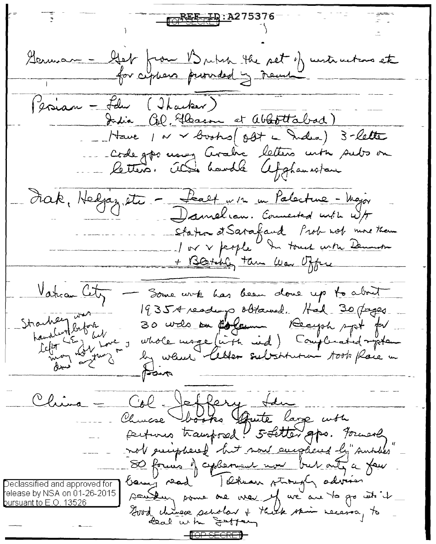<u>EFTD:A275376</u> German - Get from British the set of untimation et (esian - Felu (Itacker) India Col. Elbason at ababitabad) Have 1 av + books ( oft a Indea ) 3-lette Codego nous Avadre letters mén subs on Frak, Helpy etc - <del>Salt</del> w/r m Palacture - Major Damelian. Counciled with w/ Staten at Satafaud Prob not more than + Blatchly tam was offere Vanca City Some wite has been done up to about 1935A reading obtained. Had-30 (byzer. Strachen detote 30 wels on floren Recept ppt for Celot LE 1 bien whole mage (in the rid) Complement of poten by which letter substitution took place in China = Col Jeffery the Churche books aute large with perfusio transposed! 5-fetter goo. Forward not emighered but now anything by sunshis 80 formés y cyclement nous but ont a fair Declassified and approved for elease by NSA on 01-26-2015 southing some one wear of we are to go into it <u>bursuant to E.O. 13526</u> Good chinese scholar + thick skin necessary to <del>-¶OP SECRET</del>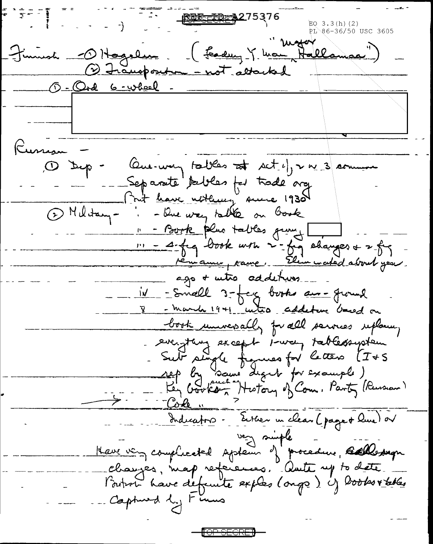<u> 最民一王D-- A2</u>75376 PL 86-36/50 USC 3605 (Fandung Y Man Hallamaa") Finnesh O Hogelin 1 Frausponten - not abouted O-Ord 6-wheel Russian of typ Que way tables at set eff v m 3 comment Separate tables for trade arg Frut <u>have nothing</u> sunce 1930 1 Military-. - Que way table on Gook 11 - Bork plus tables grung 11 - A-fre book with 2-frg shanges + 2 frg rémaine, raine. Elem mated about you. ago + wtro, addeturs\_ <u>iv - Small 3-feg books am-ground</u> V - march 1941 unto addeture based on book universally for all services replacing everything except 1-way tablessystem Sub single frances for letters (I+S sep by Same deart for example)<br>- Key Gooks - History of Com. Party (Russian) Indications. Entrer un clean (page + Que) ou very simple Have very complicated system of procedure, stallestrage changes, map, references, aute, up to date l'ordret have défeuite explos (ongs) if looks véeles Captured by Firms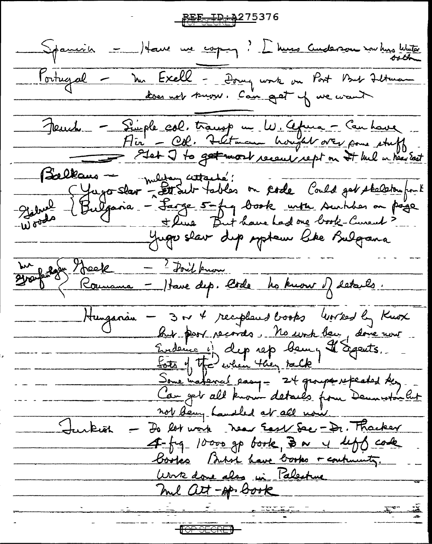<u> KEE-TD-AZ75376</u> Spanish = Have une corprez ? L'huns audenou nou huis blutter Fortugal - Mr Excell - Doug work on Port But Fetware Jeuch - Simple col. transp m. W. Africa - Can have Géolkaus - message cettants!<br>- Gierre Bulgaria - Sarge 5-fra book with surhis on page<br>- Woods - Bulgaria - Sarge 5-fra book with surhis on page<br>- Woods - Here But have had one book-Cureal? Balkaus -Jugo slav dup system like Bulgana du groupe - 2 Joil from<br>2008 Romanne - Have dep. Code les known of estables. Hunganien - 3 m 4 recipleurs books worked by Knox hit port records. No work being done now Endema i) dep rep bem, Il Segents. Some inatence pasy = 24 groupe referated they. Can get all known details from Dennistan Cut not being handled at all now. Jurkish Do let work Near East Sec - Dr. Thacker 4-59-10000 gp book, Ba y left cake books Buton have books + continuity. <u>Work done also in Palestine</u> mil att-op. Book